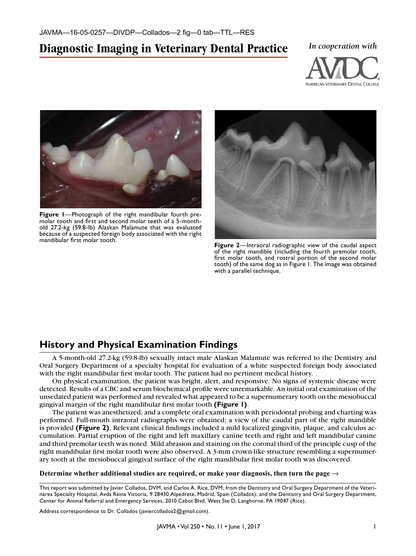# **Diagnostic Imaging in Veterinary Dental Practice** *In cooperation with*





**Figure 1**—Photograph of the right mandibular fourth premolar tooth and first and second molar teeth of a 5-monthold 27.2-kg (59.8-lb) Alaskan Malamute that was evaluated because of a suspected foreign body associated with the right mandibular first molar tooth.



**Figure 2**—Intraoral radiographic view of the caudal aspect of the right mandible (including the fourth premolar tooth, first molar tooth, and rostral portion of the second molar tooth) of the same dog as in Figure 1. The image was obtained with a parallel technique.

# **History and Physical Examination Findings**

A 5-month-old 27.2-kg (59.8-lb) sexually intact male Alaskan Malamute was referred to the Dentistry and Oral Surgery Department of a specialty hospital for evaluation of a white suspected foreign body associated with the right mandibular first molar tooth. The patient had no pertinent medical history.

On physical examination, the patient was bright, alert, and responsive. No signs of systemic disease were detected. Results of a CBC and serum biochemical profile were unremarkable. An initial oral examination of the unsedated patient was performed and revealed what appeared to be a supernumerary tooth on the mesiobuccal gingival margin of the right mandibular first molar tooth **(Figure 1)**.

The patient was anesthetized, and a complete oral examination with periodontal probing and charting was performed. Full-mouth intraoral radiographs were obtained; a view of the caudal part of the right mandible is provided **(Figure 2)**. Relevant clinical findings included a mild localized gingivitis, plaque, and calculus accumulation. Partial eruption of the right and left maxillary canine teeth and right and left mandibular canine and third premolar teeth was noted. Mild abrasion and staining on the coronal third of the principle cusp of the right mandibular first molar tooth were also observed. A 3-mm crown-like structure resembling a supernumerary tooth at the mesiobuccal gingival surface of the right mandibular first molar tooth was discovered.

Determine whether additional studies are required, or make your diagnosis, then turn the page  $\rightarrow$ 

This report was submitted by Javier Collados, DVM, and Carlos A. Rice, DVM; from the Dentistry and Oral Surgery Department of the Veterinarea Specialty Hospital, Avda Reina Victoria, 9 28430 Alpedrete, Madrid, Spain (Collados); and the Dentistry and Oral Surgery Department, Center for Animal Referral and Emergency Services, 2010 Cabot Blvd, West Ste D, Langhorne, PA 19047 (Rice).

Address correspondence to Dr. Collados (javiercollados2@gmail.com).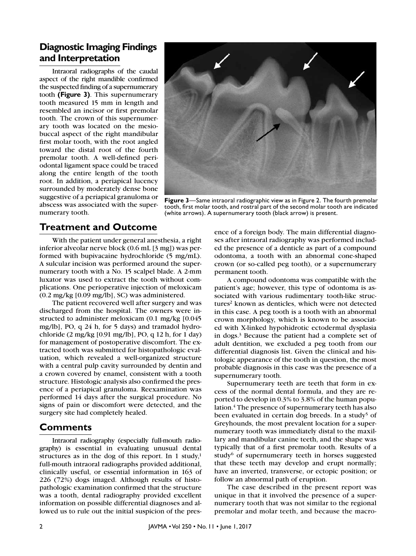# **Diagnostic Imaging Findings and Interpretation**

Intraoral radiographs of the caudal aspect of the right mandible confirmed the suspected finding of a supernumerary tooth **(Figure 3)**. This supernumerary tooth measured 15 mm in length and resembled an incisor or first premolar tooth. The crown of this supernumerary tooth was located on the mesiobuccal aspect of the right mandibular first molar tooth, with the root angled toward the distal root of the fourth premolar tooth. A well-defined periodontal ligament space could be traced along the entire length of the tooth root. In addition, a periapical lucency surrounded by moderately dense bone suggestive of a periapical granuloma or abscess was associated with the supernumerary tooth.



**Figure 3**—Same intraoral radiographic view as in Figure 2. The fourth premolar tooth, first molar tooth, and rostral part of the second molar tooth are indicated (white arrows). A supernumerary tooth (black arrow) is present.

### **Treatment and Outcome**

With the patient under general anesthesia, a right inferior alveolar nerve block (0.6 mL [3 mg]) was performed with bupivacaine hydrochloride (5 mg/mL). A sulcular incision was performed around the supernumerary tooth with a No. 15 scalpel blade. A 2-mm luxator was used to extract the tooth without complications. One perioperative injection of meloxicam (0.2 mg/kg [0.09 mg/lb], SC) was administered.

The patient recovered well after surgery and was discharged from the hospital. The owners were instructed to administer meloxicam (0.1 mg/kg [0.045 mg/lb], PO, q 24 h, for 5 days) and tramadol hydrochloride (2 mg/kg [0.91 mg/lb], PO, q 12 h, for 1 day) for management of postoperative discomfort. The extracted tooth was submitted for histopathologic evaluation, which revealed a well-organized structure with a central pulp cavity surrounded by dentin and a crown covered by enamel, consistent with a tooth structure. Histologic analysis also confirmed the presence of a periapical granuloma. Reexamination was performed 14 days after the surgical procedure. No signs of pain or discomfort were detected, and the surgery site had completely healed.

#### **Comments**

Intraoral radiography (especially full-mouth radiography) is essential in evaluating unusual dental structures as in the dog of this report. In 1 study, $1$ full-mouth intraoral radiographs provided additional, clinically useful, or essential information in 163 of 226 (72%) dogs imaged. Although results of histopathologic examination confirmed that the structure was a tooth, dental radiography provided excellent information on possible differential diagnoses and allowed us to rule out the initial suspicion of the presence of a foreign body. The main differential diagnoses after intraoral radiography was performed included the presence of a denticle as part of a compound odontoma, a tooth with an abnormal cone-shaped crown (or so-called peg tooth), or a supernumerary permanent tooth.

A compound odontoma was compatible with the patient's age; however, this type of odontoma is associated with various rudimentary tooth-like structures<sup>2</sup> known as denticles, which were not detected in this case. A peg tooth is a tooth with an abnormal crown morphology, which is known to be associated with X-linked hypohidrotic ectodermal dysplasia in dogs.3 Because the patient had a complete set of adult dentition, we excluded a peg tooth from our differential diagnosis list. Given the clinical and histologic appearance of the tooth in question, the most probable diagnosis in this case was the presence of a supernumerary tooth.

Supernumerary teeth are teeth that form in excess of the normal dental formula, and they are reported to develop in 0.3% to 3.8% of the human population.<sup>4</sup> The presence of supernumerary teeth has also been evaluated in certain dog breeds. In a study<sup>5</sup> of Greyhounds, the most prevalent location for a supernumerary tooth was immediately distal to the maxillary and mandibular canine teeth, and the shape was typically that of a first premolar tooth. Results of a study $6$  of supernumerary teeth in horses suggested that these teeth may develop and erupt normally; have an inverted, transverse, or ectopic position; or follow an abnormal path of eruption.

The case described in the present report was unique in that it involved the presence of a supernumerary tooth that was not similar to the regional premolar and molar teeth, and because the macro